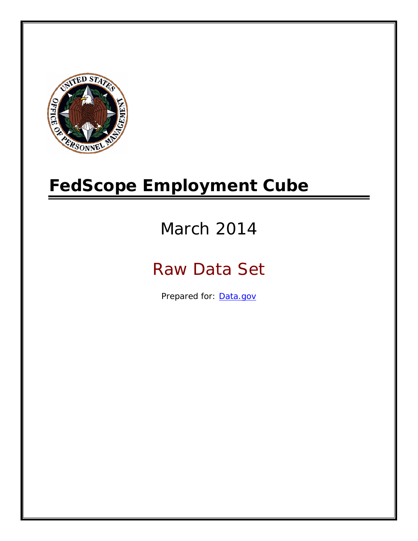

# **FedScope Employment Cube**

# March 2014

# Raw Data Set

Prepared for: [Data.gov](http://www.data.gov/)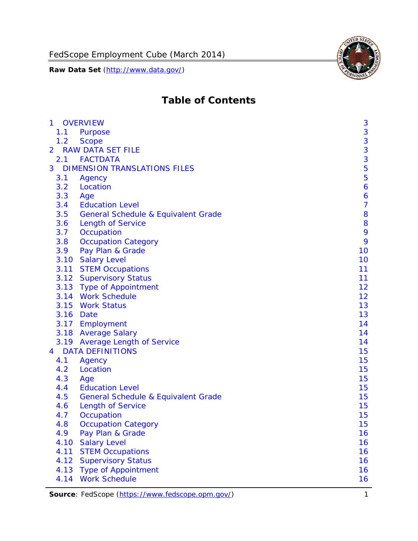

# **Table of Contents**

| $\mathbf{1}$ | <b>OVERVIEW</b>                                | 3              |
|--------------|------------------------------------------------|----------------|
| 1.1          | Purpose                                        | 3              |
| 1.2          | <b>Scope</b>                                   | 3              |
| 2            | <b>RAW DATA SET FILE</b>                       | 3              |
| 2.1          | <b>FACTDATA</b>                                | 3              |
| 3            | <b>DIMENSION TRANSLATIONS FILES</b>            | 5              |
| 3.1          | Agency                                         | 5              |
| 3.2          | Location                                       | 6              |
| 3.3          | Age                                            | 6              |
| 3.4          | <b>Education Level</b>                         | $\overline{7}$ |
| 3.5          | <b>General Schedule &amp; Equivalent Grade</b> | 8              |
| 3.6          | <b>Length of Service</b>                       | 8              |
| 3.7          | Occupation                                     | 9              |
| 3.8          | <b>Occupation Category</b>                     | 9              |
| 3.9          | Pay Plan & Grade                               | 10             |
| 3.10         | <b>Salary Level</b>                            | 10             |
|              | 3.11 STEM Occupations                          | 11             |
|              | 3.12 Supervisory Status                        | 11             |
|              | 3.13 Type of Appointment                       | 12             |
|              | 3.14 Work Schedule                             | 12             |
| 3.15         | <b>Work Status</b>                             | 13             |
|              | 3.16 Date                                      | 13             |
|              | 3.17 Employment                                | 14             |
|              | 3.18 Average Salary                            | 14             |
|              | 3.19 Average Length of Service                 | 14             |
| 4            | <b>DATA DEFINITIONS</b>                        | 15             |
| 4.1          | Agency                                         | 15             |
| 4.2          | Location                                       | 15             |
| 4.3          | Age                                            | 15             |
| 4.4          | <b>Education Level</b>                         | 15             |
| 4.5          | <b>General Schedule &amp; Equivalent Grade</b> | 15             |
| 4.6          | <b>Length of Service</b>                       | 15             |
| 4.7          | Occupation                                     | 15             |
| 4.8          | <b>Occupation Category</b>                     | 15             |
| 4.9          | Pay Plan & Grade                               | 16             |
| 4.10         | <b>Salary Level</b>                            | 16             |
| 4.11         | <b>STEM Occupations</b>                        | 16             |
| 4.12         | <b>Supervisory Status</b>                      | 16             |
| 4.13         | <b>Type of Appointment</b>                     | 16             |
| 4.14         | <b>Work Schedule</b>                           | 16             |

Source: FedScope (https://www.fedscope.opm.gov/) 1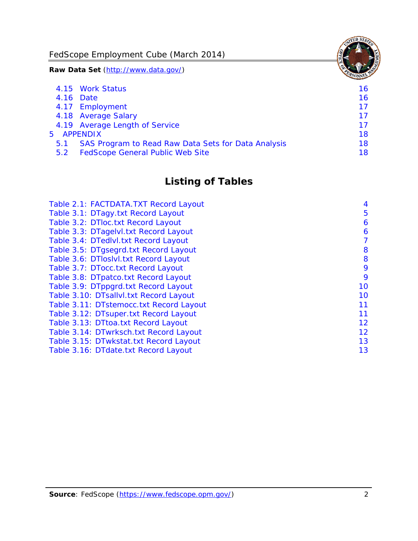FedScope Employment Cube (March 2014)

**Raw Data Set** (http://www.data.gov/)

|     | 4.15 Work Status                                    | 16 |
|-----|-----------------------------------------------------|----|
|     | 4.16 Date                                           | 16 |
|     | 4.17 Employment                                     | 17 |
|     | 4.18 Average Salary                                 | 17 |
|     | 4.19 Average Length of Service                      | 17 |
|     | 5 APPENDIX                                          | 18 |
| 5.1 | SAS Program to Read Raw Data Sets for Data Analysis | 18 |
| 5.2 | <b>FedScope General Public Web Site</b>             | 18 |

# **Listing of Tables**

| Table 2.1: FACTDATA.TXT Record Layout   | 4  |
|-----------------------------------------|----|
| Table 3.1: DTagy.txt Record Layout      | 5  |
| Table 3.2: DTloc.txt Record Layout      | 6  |
| Table 3.3: DTagelvl.txt Record Layout   | 6  |
| Table 3.4: DTedlvl.txt Record Layout    | 7  |
| Table 3.5: DTgsegrd.txt Record Layout   | 8  |
| Table 3.6: DTIoslyl.txt Record Layout   | 8  |
| Table 3.7: DTocc.txt Record Layout      | 9  |
| Table 3.8: DTpatco.txt Record Layout    | 9  |
| Table 3.9: DTppgrd.txt Record Layout    | 10 |
| Table 3.10: DTsallvl.txt Record Layout  | 10 |
| Table 3.11: DTstemocc.txt Record Layout | 11 |
| Table 3.12: DTsuper.txt Record Layout   | 11 |
| Table 3.13: DTtoa.txt Record Layout     | 12 |
| Table 3.14: DTwrksch.txt Record Layout  | 12 |
| Table 3.15: DTwkstat.txt Record Layout  | 13 |
| Table 3.16: DTdate.txt Record Layout    | 13 |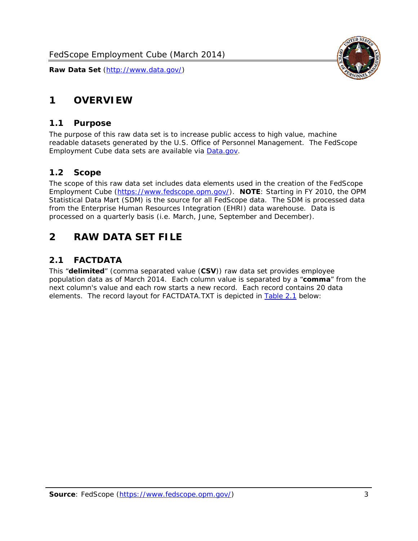

# <span id="page-3-0"></span>**1 OVERVIEW**

#### *1.1 Purpose*

<span id="page-3-1"></span>The purpose of this raw data set is to increase public access to high value, machine readable datasets generated by the U.S. Office of Personnel Management. The FedScope Employment Cube data sets are available via [Data.gov](http://www.data.gov/).

#### <span id="page-3-2"></span>*1.2 Scope*

The scope of this raw data set includes data elements used in the creation of the FedScope Employment Cube [\(https://www.fedscope.opm.gov/\)](https://www.fedscope.opm.gov/). **NOTE**: Starting in FY 2010, the OPM Statistical Data Mart (SDM) is the source for all FedScope data. The SDM is processed data from the Enterprise Human Resources Integration (EHRI) data warehouse. Data is processed on a quarterly basis (i.e. March, June, September and December).

# <span id="page-3-3"></span>**2 RAW DATA SET FILE**

# <span id="page-3-4"></span>*2.1 FACTDATA*

This "**delimited**" (comma separated value (**CSV**)) raw data set provides employee population data as of March 2014. Each column value is separated by a "**comma**" from the next column's value and each row starts a new record. Each record contains 20 data elements. The record layout for FACTDATA.TXT is depicted in [Table 2.1](#page-4-1) below: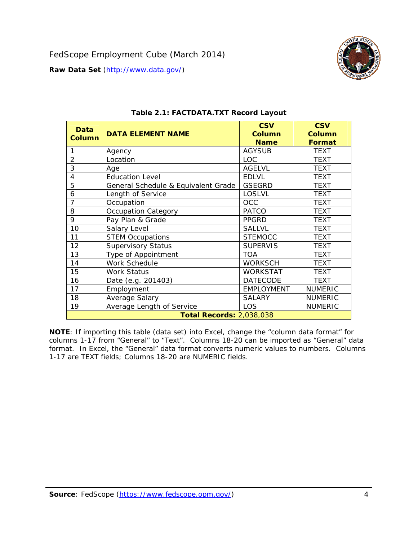

<span id="page-4-1"></span><span id="page-4-0"></span>

| <b>Data</b><br><b>Column</b> | <b>DATA ELEMENT NAME</b>            | <b>CSV</b><br><b>Column</b><br><b>Name</b> | <b>CSV</b><br><b>Column</b><br><b>Format</b> |
|------------------------------|-------------------------------------|--------------------------------------------|----------------------------------------------|
|                              | Agency                              | <b>AGYSUB</b>                              | <b>TEXT</b>                                  |
| $\overline{2}$               | Location                            | LOC.                                       | <b>TEXT</b>                                  |
| 3                            | Age                                 | <b>AGELVL</b>                              | <b>TEXT</b>                                  |
| 4                            | <b>Education Level</b>              | <b>EDLVL</b>                               | <b>TEXT</b>                                  |
| 5                            | General Schedule & Equivalent Grade | <b>GSEGRD</b>                              | <b>TEXT</b>                                  |
| 6                            | Length of Service                   | <b>LOSLVL</b>                              | <b>TEXT</b>                                  |
| 7                            | Occupation                          | OCC                                        | TEXT                                         |
| 8                            | <b>Occupation Category</b>          | <b>PATCO</b>                               | <b>TEXT</b>                                  |
| 9                            | Pay Plan & Grade                    | <b>PPGRD</b>                               | <b>TEXT</b>                                  |
| 10                           | Salary Level                        | <b>SALLVL</b>                              | TEXT                                         |
| 11                           | <b>STEM Occupations</b>             | <b>STEMOCC</b>                             | TEXT                                         |
| 12                           | <b>Supervisory Status</b>           | <b>SUPERVIS</b>                            | <b>TEXT</b>                                  |
| 13                           | Type of Appointment                 | <b>TOA</b>                                 | TEXT                                         |
| 14                           | Work Schedule                       | <b>WORKSCH</b>                             | <b>TEXT</b>                                  |
| 15                           | <b>Work Status</b>                  | <b>WORKSTAT</b>                            | TEXT                                         |
| 16                           | Date (e.g. 201403)                  | <b>DATECODE</b>                            | <b>TEXT</b>                                  |
| 17                           | Employment                          | <b>EMPLOYMENT</b>                          | <b>NUMERIC</b>                               |
| 18                           | Average Salary                      | <b>SALARY</b>                              | <b>NUMERIC</b>                               |
| 19                           | Average Length of Service           | <b>LOS</b>                                 | <b>NUMERIC</b>                               |
|                              | <b>Total Records: 2,038,038</b>     |                                            |                                              |

#### **Table 2.1: FACTDATA.TXT Record Layout**

**NOTE**: If importing this table (data set) into Excel, change the "column data format" for columns 1-17 from "General" to "Text". Columns 18-20 can be imported as "General" data format. In Excel, the "General" data format converts numeric values to numbers. Columns 1-17 are TEXT fields; Columns 18-20 are NUMERIC fields.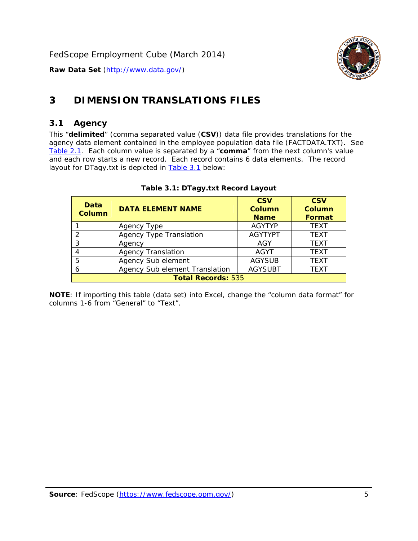

# <span id="page-5-0"></span>**3 DIMENSION TRANSLATIONS FILES**

#### <span id="page-5-1"></span>*3.1 Agency*

<span id="page-5-3"></span><span id="page-5-2"></span>This "**delimited**" (comma separated value (**CSV**)) data file provides translations for the agency data element contained in the employee population data file (FACTDATA.TXT). See [Table 2.1.](#page-4-1) Each column value is separated by a "**comma**" from the next column's value and each row starts a new record. Each record contains 6 data elements. The record layout for DTagy.txt is depicted in **Table 3.1** below:

| Data<br>Column            | <b>DATA ELEMENT NAME</b>       | <b>CSV</b><br><b>Column</b><br><b>Name</b> | <b>CSV</b><br><b>Column</b><br><b>Format</b> |
|---------------------------|--------------------------------|--------------------------------------------|----------------------------------------------|
|                           | Agency Type                    | <b>AGYTYP</b>                              | <b>TEXT</b>                                  |
| 2                         | <b>Agency Type Translation</b> | <b>AGYTYPT</b>                             | <b>TEXT</b>                                  |
| 3                         | Agency                         | AGY                                        | <b>TEXT</b>                                  |
| 4                         | <b>Agency Translation</b>      | <b>AGYT</b>                                | <b>TEXT</b>                                  |
| 5                         | Agency Sub element             | <b>AGYSUB</b>                              | <b>TEXT</b>                                  |
| 6                         | Agency Sub element Translation | <b>AGYSUBT</b>                             | <b>TEXT</b>                                  |
| <b>Total Records: 535</b> |                                |                                            |                                              |

#### **Table 3.1: DTagy.txt Record Layout**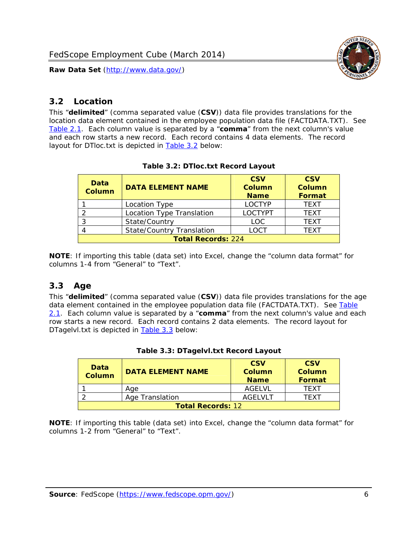

## <span id="page-6-0"></span>*3.2 Location*

<span id="page-6-4"></span><span id="page-6-2"></span>This "**delimited**" (comma separated value (**CSV**)) data file provides translations for the location data element contained in the employee population data file (FACTDATA.TXT). See [Table 2.1.](#page-4-1) Each column value is separated by a "**comma**" from the next column's value and each row starts a new record. Each record contains 4 data elements. The record layout for DTloc.txt is depicted in [Table 3.2](#page-6-4) below:

| Data<br><b>Column</b>     | <b>DATA ELEMENT NAME</b>         | <b>CSV</b><br>Column<br><b>Name</b> | <b>CSV</b><br><b>Column</b><br><b>Format</b> |
|---------------------------|----------------------------------|-------------------------------------|----------------------------------------------|
|                           | Location Type                    | <b>LOCTYP</b>                       | <b>TEXT</b>                                  |
|                           | Location Type Translation        | <b>LOCTYPT</b>                      | <b>TFXT</b>                                  |
| ົ                         | State/Country                    | LOC.                                | <b>TEXT</b>                                  |
|                           | <b>State/Country Translation</b> | LOCT                                | <b>TFXT</b>                                  |
| <b>Total Records: 224</b> |                                  |                                     |                                              |

#### **Table 3.2: DTloc.txt Record Layout**

**NOTE**: If importing this table (data set) into Excel, change the "column data format" for columns 1-4 from "General" to "Text".

#### <span id="page-6-1"></span>*3.3 Age*

<span id="page-6-5"></span><span id="page-6-3"></span>This "**delimited**" (comma separated value (**CSV**)) data file provides translations for the age data element contained in the employee population data file (FACTDATA.TXT). See [Table](#page-4-1) [2.1](#page-4-1). Each column value is separated by a "**comma**" from the next column's value and each row starts a new record. Each record contains 2 data elements. The record layout for DTagelvl.txt is depicted in **[Table 3.3](#page-6-5)** below:

| Data<br><b>Column</b>    | <b>DATA ELEMENT NAME</b> | <b>CSV</b><br>Column<br><b>Name</b> | <b>CSV</b><br>Column<br>Format |
|--------------------------|--------------------------|-------------------------------------|--------------------------------|
|                          | Aae                      | AGFI VI                             | TFXT                           |
|                          | Age Translation          | AGFI VI T                           | TFXT                           |
| <b>Total Records: 12</b> |                          |                                     |                                |

#### **Table 3.3: DTagelvl.txt Record Layout**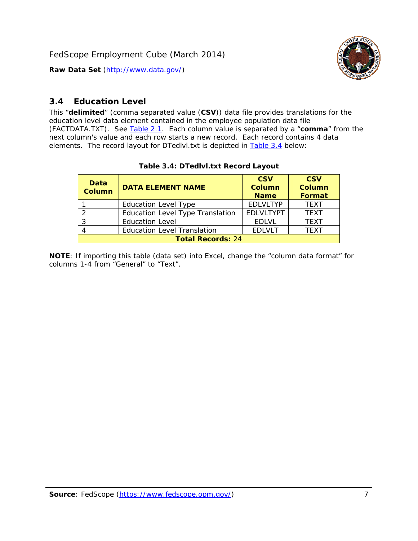

## <span id="page-7-0"></span>*3.4 Education Level*

<span id="page-7-2"></span><span id="page-7-1"></span>This "**delimited**" (comma separated value (**CSV**)) data file provides translations for the education level data element contained in the employee population data file (FACTDATA.TXT). See [Table 2.1](#page-4-1). Each column value is separated by a "**comma**" from the next column's value and each row starts a new record. Each record contains 4 data elements. The record layout for DTedlvl.txt is depicted in [Table 3.4](#page-7-2) below:

| Data<br><b>Column</b>    | <b>DATA ELEMENT NAME</b>           | <b>CSV</b><br><b>Column</b><br><b>Name</b> | <b>CSV</b><br><b>Column</b><br><b>Format</b> |
|--------------------------|------------------------------------|--------------------------------------------|----------------------------------------------|
|                          | <b>Education Level Type</b>        | <b>EDLVLTYP</b>                            | <b>TEXT</b>                                  |
|                          | Education Level Type Translation   | <b>EDLVLTYPT</b>                           | <b>TEXT</b>                                  |
|                          | <b>Education Level</b>             | <b>EDLVL</b>                               | <b>TEXT</b>                                  |
|                          | <b>Education Level Translation</b> | <b>EDLVLT</b>                              | <b>TEXT</b>                                  |
| <b>Total Records: 24</b> |                                    |                                            |                                              |

#### **Table 3.4: DTedlvl.txt Record Layout**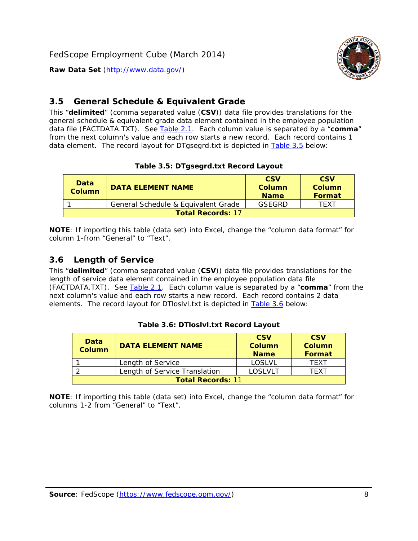

#### <span id="page-8-0"></span>*3.5 General Schedule & Equivalent Grade*

This "**delimited**" (comma separated value (**CSV**)) data file provides translations for the general schedule & equivalent grade data element contained in the employee population data file (FACTDATA.TXT). See [Table 2.1](#page-4-1). Each column value is separated by a "**comma**" from the next column's value and each row starts a new record. Each record contains 1 data element. The record layout for DTgsegrd.txt is depicted in [Table 3.5](#page-8-4) below:

#### **Table 3.5: DTgsegrd.txt Record Layout**

<span id="page-8-4"></span><span id="page-8-2"></span>

| Data<br>Column           | DATA FI FMFNT NAMF                  | <b>CSV</b><br>Column<br><b>Name</b> | <b>CSV</b><br>Column<br>Format |
|--------------------------|-------------------------------------|-------------------------------------|--------------------------------|
|                          | General Schedule & Equivalent Grade | GSEGRD                              | TFXT                           |
| <b>Total Records: 17</b> |                                     |                                     |                                |

**NOTE**: If importing this table (data set) into Excel, change the "column data format" for column 1-from "General" to "Text".

#### <span id="page-8-1"></span>*3.6 Length of Service*

<span id="page-8-5"></span>This "**delimited**" (comma separated value (**CSV**)) data file provides translations for the length of service data element contained in the employee population data file (FACTDATA.TXT). See [Table 2.1](#page-4-1). Each column value is separated by a "**comma**" from the next column's value and each row starts a new record. Each record contains 2 data elements. The record layout for DTloslvl.txt is depicted in [Table 3.6](#page-8-5) below:

<span id="page-8-3"></span>

| Data<br><b>Column</b>    | <b>DATA ELEMENT NAME</b>      | <b>CSV</b><br><b>Column</b><br><b>Name</b> | <b>CSV</b><br>Column<br>Format |
|--------------------------|-------------------------------|--------------------------------------------|--------------------------------|
|                          | Length of Service             | LOSLVL                                     | TFXT                           |
|                          | Length of Service Translation | LOSI VLT                                   | TFXT                           |
| <b>Total Records: 11</b> |                               |                                            |                                |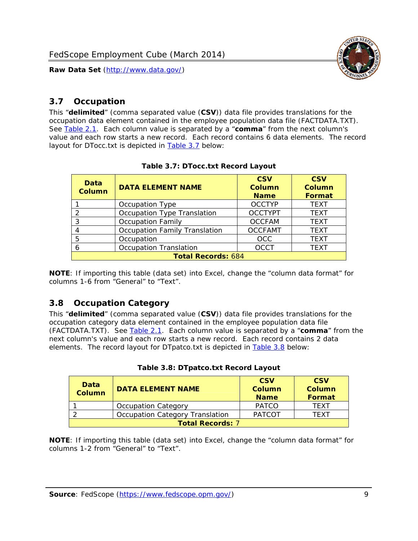

#### <span id="page-9-0"></span>*3.7 Occupation*

<span id="page-9-4"></span>This "**delimited**" (comma separated value (**CSV**)) data file provides translations for the occupation data element contained in the employee population data file (FACTDATA.TXT). See [Table 2.1](#page-4-1). Each column value is separated by a "**comma**" from the next column's value and each row starts a new record. Each record contains 6 data elements. The record layout for DTocc.txt is depicted in [Table 3.7](#page-9-4) below:

<span id="page-9-2"></span>

| Data<br><b>Column</b>     | <b>DATA ELEMENT NAME</b>             | <b>CSV</b><br>Column<br><b>Name</b> | <b>CSV</b><br><b>Column</b><br><b>Format</b> |
|---------------------------|--------------------------------------|-------------------------------------|----------------------------------------------|
|                           | Occupation Type                      | <b>OCCTYP</b>                       | <b>TEXT</b>                                  |
|                           | Occupation Type Translation          | <b>OCCTYPT</b>                      | <b>TEXT</b>                                  |
| 3                         | <b>Occupation Family</b>             | <b>OCCFAM</b>                       | <b>TEXT</b>                                  |
|                           | <b>Occupation Family Translation</b> | <b>OCCFAMT</b>                      | <b>TEXT</b>                                  |
| 5                         | Occupation                           | <b>OCC</b>                          | <b>TEXT</b>                                  |
|                           | <b>Occupation Translation</b>        | <b>OCCT</b>                         | <b>TEXT</b>                                  |
| <b>Total Records: 684</b> |                                      |                                     |                                              |

#### **Table 3.7: DTocc.txt Record Layout**

**NOTE**: If importing this table (data set) into Excel, change the "column data format" for columns 1-6 from "General" to "Text".

#### <span id="page-9-1"></span>*3.8 Occupation Category*

<span id="page-9-5"></span>This "**delimited**" (comma separated value (**CSV**)) data file provides translations for the occupation category data element contained in the employee population data file (FACTDATA.TXT). See [Table 2.1](#page-4-1). Each column value is separated by a "**comma**" from the next column's value and each row starts a new record. Each record contains 2 data elements. The record layout for DTpatco.txt is depicted in [Table 3.8](#page-9-5) below:

<span id="page-9-3"></span>

| Data<br><b>Column</b>   | <b>DATA ELEMENT NAME</b>        | <b>CSV</b><br>Column<br><b>Name</b> | <b>CSV</b><br>Column<br>Format |
|-------------------------|---------------------------------|-------------------------------------|--------------------------------|
|                         | <b>Occupation Category</b>      | <b>PATCO</b>                        | <b>TFXT</b>                    |
|                         | Occupation Category Translation | <b>PATCOT</b>                       | TFXT                           |
| <b>Total Records: 7</b> |                                 |                                     |                                |

|  |  | Table 3.8: DTpatco.txt Record Layout |  |  |
|--|--|--------------------------------------|--|--|
|--|--|--------------------------------------|--|--|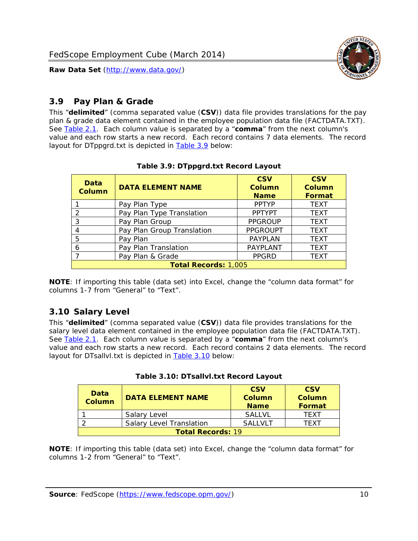

## <span id="page-10-0"></span>*3.9 Pay Plan & Grade*

<span id="page-10-4"></span>This "**delimited**" (comma separated value (**CSV**)) data file provides translations for the pay plan & grade data element contained in the employee population data file (FACTDATA.TXT). See [Table 2.1](#page-4-1). Each column value is separated by a "**comma**" from the next column's value and each row starts a new record. Each record contains 7 data elements. The record layout for DTppgrd.txt is depicted in **Table 3.9** below:

<span id="page-10-2"></span>

| Data<br>Column              | <b>DATA ELEMENT NAME</b>   | <b>CSV</b><br>Column<br><b>Name</b> | <b>CSV</b><br><b>Column</b><br><b>Format</b> |  |
|-----------------------------|----------------------------|-------------------------------------|----------------------------------------------|--|
|                             | Pay Plan Type              | <b>PPTYP</b>                        | <b>TEXT</b>                                  |  |
| $\mathcal{P}$               | Pay Plan Type Translation  | <b>PPTYPT</b>                       | <b>TEXT</b>                                  |  |
| 3                           | Pay Plan Group             | <b>PPGROUP</b>                      | <b>TEXT</b>                                  |  |
| 4                           | Pay Plan Group Translation | <b>PPGROUPT</b>                     | <b>TEXT</b>                                  |  |
| 5                           | Pay Plan                   | <b>PAYPLAN</b>                      | <b>TEXT</b>                                  |  |
| 6                           | Pay Plan Translation       | PAYPLANT                            | <b>TEXT</b>                                  |  |
|                             | Pay Plan & Grade           | <b>PPGRD</b>                        | <b>TEXT</b>                                  |  |
| <b>Total Records: 1,005</b> |                            |                                     |                                              |  |

#### **Table 3.9: DTppgrd.txt Record Layout**

**NOTE**: If importing this table (data set) into Excel, change the "column data format" for columns 1-7 from "General" to "Text".

# <span id="page-10-1"></span>*3.10 Salary Level*

<span id="page-10-5"></span><span id="page-10-3"></span>This "**delimited**" (comma separated value (**CSV**)) data file provides translations for the salary level data element contained in the employee population data file (FACTDATA.TXT). See [Table 2.1](#page-4-1). Each column value is separated by a "**comma**" from the next column's value and each row starts a new record. Each record contains 2 data elements. The record layout for DTsallvl.txt is depicted in [Table 3.10](#page-10-5) below:

| <b>Data</b><br>Column    | <b>DATA ELEMENT NAME</b>        | <b>CSV</b><br>Column<br><b>Name</b> | <b>CSV</b><br>Column<br><b>Format</b> |
|--------------------------|---------------------------------|-------------------------------------|---------------------------------------|
|                          | Salary Level                    | <b>SALLVL</b>                       | TFXT                                  |
|                          | <b>Salary Level Translation</b> | SAI I VI T                          | TEXT                                  |
| <b>Total Records: 19</b> |                                 |                                     |                                       |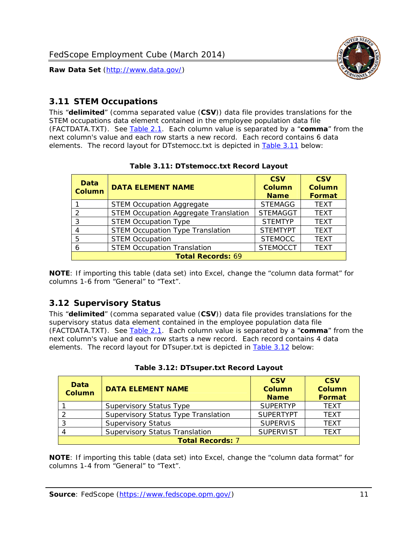

## <span id="page-11-0"></span>*3.11 STEM Occupations*

<span id="page-11-4"></span>This "**delimited**" (comma separated value (**CSV**)) data file provides translations for the STEM occupations data element contained in the employee population data file (FACTDATA.TXT). See [Table 2.1](#page-4-1). Each column value is separated by a "**comma**" from the next column's value and each row starts a new record. Each record contains 6 data elements. The record layout for DTstemocc.txt is depicted in [Table 3.11](#page-11-4) below:

<span id="page-11-2"></span>

| <b>Data</b><br><b>Column</b> | <b>DATA ELEMENT NAME</b>                     | <b>CSV</b><br><b>Column</b><br><b>Name</b> | <b>CSV</b><br><b>Column</b><br>Format |
|------------------------------|----------------------------------------------|--------------------------------------------|---------------------------------------|
|                              | <b>STEM Occupation Aggregate</b>             | <b>STEMAGG</b>                             | <b>TEXT</b>                           |
|                              | <b>STEM Occupation Aggregate Translation</b> | <b>STEMAGGT</b>                            | <b>TEXT</b>                           |
| 3                            | <b>STEM Occupation Type</b>                  | <b>STEMTYP</b>                             | <b>TFXT</b>                           |
|                              | <b>STEM Occupation Type Translation</b>      | <b>STEMTYPT</b>                            | <b>TEXT</b>                           |
| 5                            | <b>STEM Occupation</b>                       | <b>STEMOCC</b>                             | <b>TEXT</b>                           |
|                              | <b>STEM Occupation Translation</b>           | <b>STEMOCCT</b>                            | <b>TEXT</b>                           |
| <b>Total Records: 69</b>     |                                              |                                            |                                       |

#### **Table 3.11: DTstemocc.txt Record Layout**

**NOTE**: If importing this table (data set) into Excel, change the "column data format" for columns 1-6 from "General" to "Text".

# <span id="page-11-1"></span>*3.12 Supervisory Status*

This "**delimited**" (comma separated value (**CSV**)) data file provides translations for the supervisory status data element contained in the employee population data file (FACTDATA.TXT). See [Table 2.1](#page-4-1). Each column value is separated by a "**comma**" from the next column's value and each row starts a new record. Each record contains 4 data elements. The record layout for DTsuper.txt is depicted in [Table 3.12](#page-11-5) below:

<span id="page-11-5"></span><span id="page-11-3"></span>

| Data<br><b>Column</b>   | <b>DATA ELEMENT NAME</b>              | <b>CSV</b><br>Column<br><b>Name</b> | <b>CSV</b><br><b>Column</b><br>Format |
|-------------------------|---------------------------------------|-------------------------------------|---------------------------------------|
|                         | <b>Supervisory Status Type</b>        | <b>SUPERTYP</b>                     | <b>TEXT</b>                           |
|                         | Supervisory Status Type Translation   | <b>SUPERTYPT</b>                    | <b>TEXT</b>                           |
|                         | <b>Supervisory Status</b>             | <b>SUPERVIS</b>                     | <b>TEXT</b>                           |
|                         | <b>Supervisory Status Translation</b> | <b>SUPERVIST</b>                    | <b>TEXT</b>                           |
| <b>Total Records: 7</b> |                                       |                                     |                                       |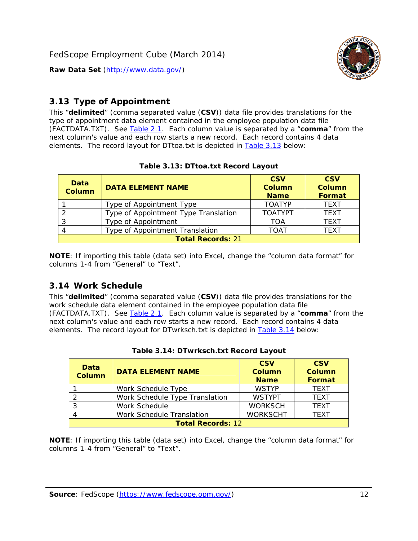

# <span id="page-12-0"></span>*3.13 Type of Appointment*

This "**delimited**" (comma separated value (**CSV**)) data file provides translations for the type of appointment data element contained in the employee population data file (FACTDATA.TXT). See [Table 2.1](#page-4-1). Each column value is separated by a "**comma**" from the next column's value and each row starts a new record. Each record contains 4 data elements. The record layout for DTtoa.txt is depicted in [Table 3.13](#page-12-4) below:

<span id="page-12-4"></span><span id="page-12-2"></span>

| Data<br><b>Column</b>    | <b>DATA ELEMENT NAME</b>             | <b>CSV</b><br><b>Column</b><br><b>Name</b> | <b>CSV</b><br><b>Column</b><br>Format |
|--------------------------|--------------------------------------|--------------------------------------------|---------------------------------------|
|                          | Type of Appointment Type             | <b>TOATYP</b>                              | <b>TEXT</b>                           |
|                          | Type of Appointment Type Translation | <b>TOATYPT</b>                             | <b>TEXT</b>                           |
|                          | Type of Appointment                  | TOA                                        | <b>TEXT</b>                           |
|                          | Type of Appointment Translation      | <b>TOAT</b>                                | <b>TEXT</b>                           |
| <b>Total Records: 21</b> |                                      |                                            |                                       |

#### **Table 3.13: DTtoa.txt Record Layout**

**NOTE**: If importing this table (data set) into Excel, change the "column data format" for columns 1-4 from "General" to "Text".

#### <span id="page-12-1"></span>*3.14 Work Schedule*

<span id="page-12-5"></span>This "**delimited**" (comma separated value (**CSV**)) data file provides translations for the work schedule data element contained in the employee population data file (FACTDATA.TXT). See [Table 2.1](#page-4-1). Each column value is separated by a "**comma**" from the next column's value and each row starts a new record. Each record contains 4 data elements. The record layout for DTwrksch.txt is depicted in [Table 3.14](#page-12-5) below:

<span id="page-12-3"></span>

| Data<br>Column           | <b>DATA ELEMENT NAME</b>       | <b>CSV</b><br><b>Column</b><br><b>Name</b> | <b>CSV</b><br>Column<br>Format |
|--------------------------|--------------------------------|--------------------------------------------|--------------------------------|
|                          | Work Schedule Type             | <b>WSTYP</b>                               | <b>TEXT</b>                    |
| 2                        | Work Schedule Type Translation | <b>WSTYPT</b>                              | <b>TFXT</b>                    |
| 3                        | Work Schedule                  | <b>WORKSCH</b>                             | <b>TFXT</b>                    |
|                          | Work Schedule Translation      | <b>WORKSCHT</b>                            | <b>TFXT</b>                    |
| <b>Total Records: 12</b> |                                |                                            |                                |

| Table 3.14: DTwrksch.txt Record Layout |
|----------------------------------------|
|----------------------------------------|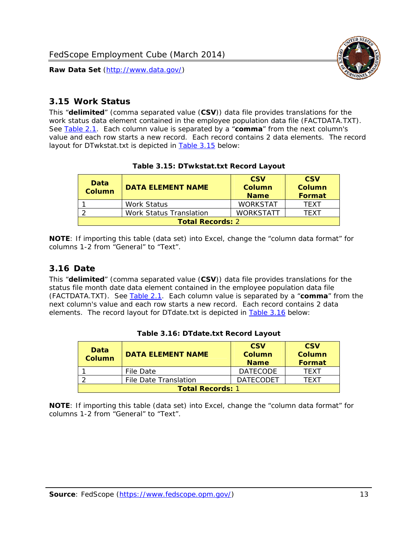

#### <span id="page-13-0"></span>*3.15 Work Status*

<span id="page-13-4"></span><span id="page-13-2"></span>This "**delimited**" (comma separated value (**CSV**)) data file provides translations for the work status data element contained in the employee population data file (FACTDATA.TXT). See [Table 2.1](#page-4-1). Each column value is separated by a "**comma**" from the next column's value and each row starts a new record. Each record contains 2 data elements. The record layout for DTwkstat.txt is depicted in [Table 3.15](#page-13-4) below:

| Data<br>Column          | <b>DATA ELEMENT NAME</b> | <b>CSV</b><br>Column<br><b>Name</b> | <b>CSV</b><br>Column<br><b>Format</b> |
|-------------------------|--------------------------|-------------------------------------|---------------------------------------|
|                         | Work Status              | <b>WORKSTAT</b>                     | TFXT                                  |
|                         | Work Status Translation  | <b>WORKSTATT</b>                    | TFXT                                  |
| <b>Total Records: 2</b> |                          |                                     |                                       |

#### **Table 3.15: DTwkstat.txt Record Layout**

**NOTE**: If importing this table (data set) into Excel, change the "column data format" for columns 1-2 from "General" to "Text".

#### <span id="page-13-1"></span>*3.16 Date*

<span id="page-13-5"></span><span id="page-13-3"></span>This "**delimited**" (comma separated value (**CSV**)) data file provides translations for the status file month date data element contained in the employee population data file (FACTDATA.TXT). See [Table 2.1](#page-4-1). Each column value is separated by a "**comma**" from the next column's value and each row starts a new record. Each record contains 2 data elements. The record layout for DTdate.txt is depicted in [Table 3.16](#page-13-5) below:

| Data<br><b>Column</b>   | <b>DATA FI FMFNT NAMF</b> | <b>CSV</b><br>Column<br><b>Name</b> | <b>CSV</b><br>Column<br>Format |  |
|-------------------------|---------------------------|-------------------------------------|--------------------------------|--|
|                         | File Date                 | <b>DATECODE</b>                     | TFXT                           |  |
|                         | File Date Translation     | <b>DATECODET</b>                    | TFXT                           |  |
| <b>Total Records: 1</b> |                           |                                     |                                |  |

|  | Table 3.16: DTdate.txt Record Layout |  |  |
|--|--------------------------------------|--|--|
|--|--------------------------------------|--|--|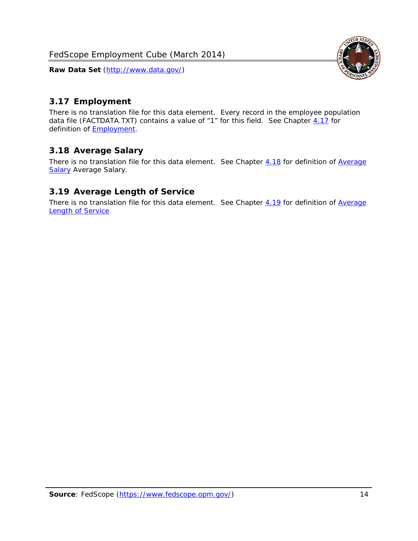<span id="page-14-0"></span>

There is no translation file for this data element. Every record in the employee population data file (FACTDATA.TXT) contains a value of "1" for this field. See Chapter [4.17](#page-16-8) for definition of **Employment**.

#### <span id="page-14-1"></span>*3.18 Average Salary*

There is no translation file for this data element. See Chapter [4.18](#page-17-1) for definition of [Average](#page-17-1) **[Salary](#page-17-1) [Average Salary.](#page-17-1)** 

#### <span id="page-14-2"></span>*3.19 Average Length of Service*

There is no translation file for this data element. See Chapter [4.19](#page-17-2) for definition of [Average](#page-17-2) Length of Service

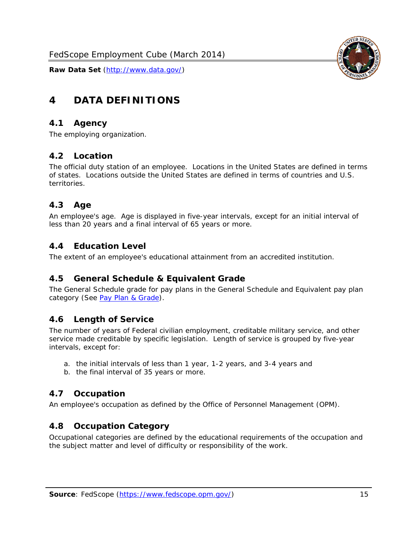

# <span id="page-15-0"></span>**4 DATA DEFINITIONS**

#### <span id="page-15-1"></span>*4.1 Agency*

The employing organization.

#### <span id="page-15-2"></span>*4.2 Location*

The official duty station of an employee. Locations in the United States are defined in terms of states. Locations outside the United States are defined in terms of countries and U.S. territories.

#### <span id="page-15-3"></span>*4.3 Age*

An employee's age. Age is displayed in five-year intervals, except for an initial interval of less than 20 years and a final interval of 65 years or more.

#### <span id="page-15-4"></span>*4.4 Education Level*

The extent of an employee's educational attainment from an accredited institution.

#### <span id="page-15-5"></span>*4.5 General Schedule & Equivalent Grade*

The General Schedule grade for pay plans in the General Schedule and Equivalent pay plan category (See [Pay Plan & Grade](#page-16-0)).

#### <span id="page-15-6"></span>*4.6 Length of Service*

The number of years of Federal civilian employment, creditable military service, and other service made creditable by specific legislation. Length of service is grouped by five-year intervals, except for:

- a. the initial intervals of less than 1 year, 1-2 years, and 3-4 years and
- b. the final interval of 35 years or more.

#### <span id="page-15-7"></span>*4.7 Occupation*

An employee's occupation as defined by the Office of Personnel Management (OPM).

#### <span id="page-15-8"></span>*4.8 Occupation Category*

Occupational categories are defined by the educational requirements of the occupation and the subject matter and level of difficulty or responsibility of the work.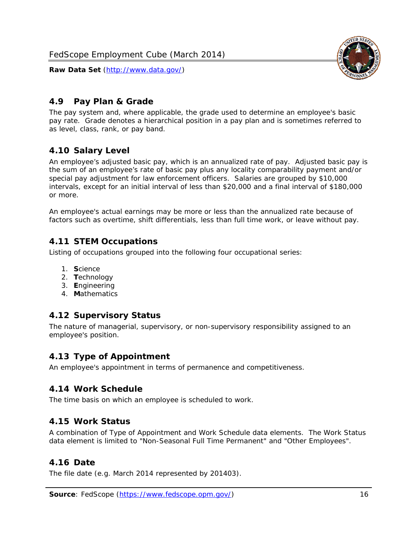

#### <span id="page-16-0"></span>*4.9 Pay Plan & Grade*

The pay system and, where applicable, the grade used to determine an employee's basic pay rate. Grade denotes a hierarchical position in a pay plan and is sometimes referred to as level, class, rank, or pay band.

## <span id="page-16-1"></span>*4.10 Salary Level*

An employee's adjusted basic pay, which is an annualized rate of pay. Adjusted basic pay is the sum of an employee's rate of basic pay plus any locality comparability payment and/or special pay adjustment for law enforcement officers. Salaries are grouped by \$10,000 intervals, except for an initial interval of less than \$20,000 and a final interval of \$180,000 or more.

An employee's actual earnings may be more or less than the annualized rate because of factors such as overtime, shift differentials, less than full time work, or leave without pay.

#### <span id="page-16-2"></span>*4.11 STEM Occupations*

Listing of occupations grouped into the following four occupational series:

- 1. **S**cience
- 2. **T**echnology
- 3. **E**ngineering
- 4. **M**athematics

#### <span id="page-16-3"></span>*4.12 Supervisory Status*

The nature of managerial, supervisory, or non-supervisory responsibility assigned to an employee's position.

#### <span id="page-16-4"></span>*4.13 Type of Appointment*

An employee's appointment in terms of permanence and competitiveness.

#### <span id="page-16-5"></span>*4.14 Work Schedule*

The time basis on which an employee is scheduled to work.

#### <span id="page-16-6"></span>*4.15 Work Status*

A combination of Type of Appointment and Work Schedule data elements. The Work Status data element is limited to "Non-Seasonal Full Time Permanent" and "Other Employees".

#### <span id="page-16-7"></span>*4.16 Date*

<span id="page-16-8"></span>The file date (e.g. March 2014 represented by 201403).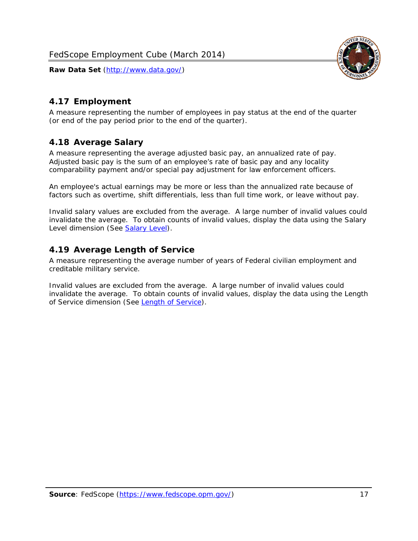

# <span id="page-17-0"></span>*4.17 Employment*

A measure representing the number of employees in pay status at the end of the quarter (or end of the pay period prior to the end of the quarter).

## <span id="page-17-1"></span>*4.18 Average Salary*

A measure representing the average adjusted basic pay, an annualized rate of pay. Adjusted basic pay is the sum of an employee's rate of basic pay and any locality comparability payment and/or special pay adjustment for law enforcement officers.

An employee's actual earnings may be more or less than the annualized rate because of factors such as overtime, shift differentials, less than full time work, or leave without pay.

Invalid salary values are excluded from the average. A large number of invalid values could invalidate the average. To obtain counts of invalid values, display the data using the Salary Level dimension (See [Salary Level\)](#page-16-1).

## <span id="page-17-2"></span>*4.19 Average Length of Service*

A measure representing the average number of years of Federal civilian employment and creditable military service.

Invalid values are excluded from the average. A large number of invalid values could invalidate the average. To obtain counts of invalid values, display the data using the Length of Service dimension (See [Length of Service](#page-15-6)).